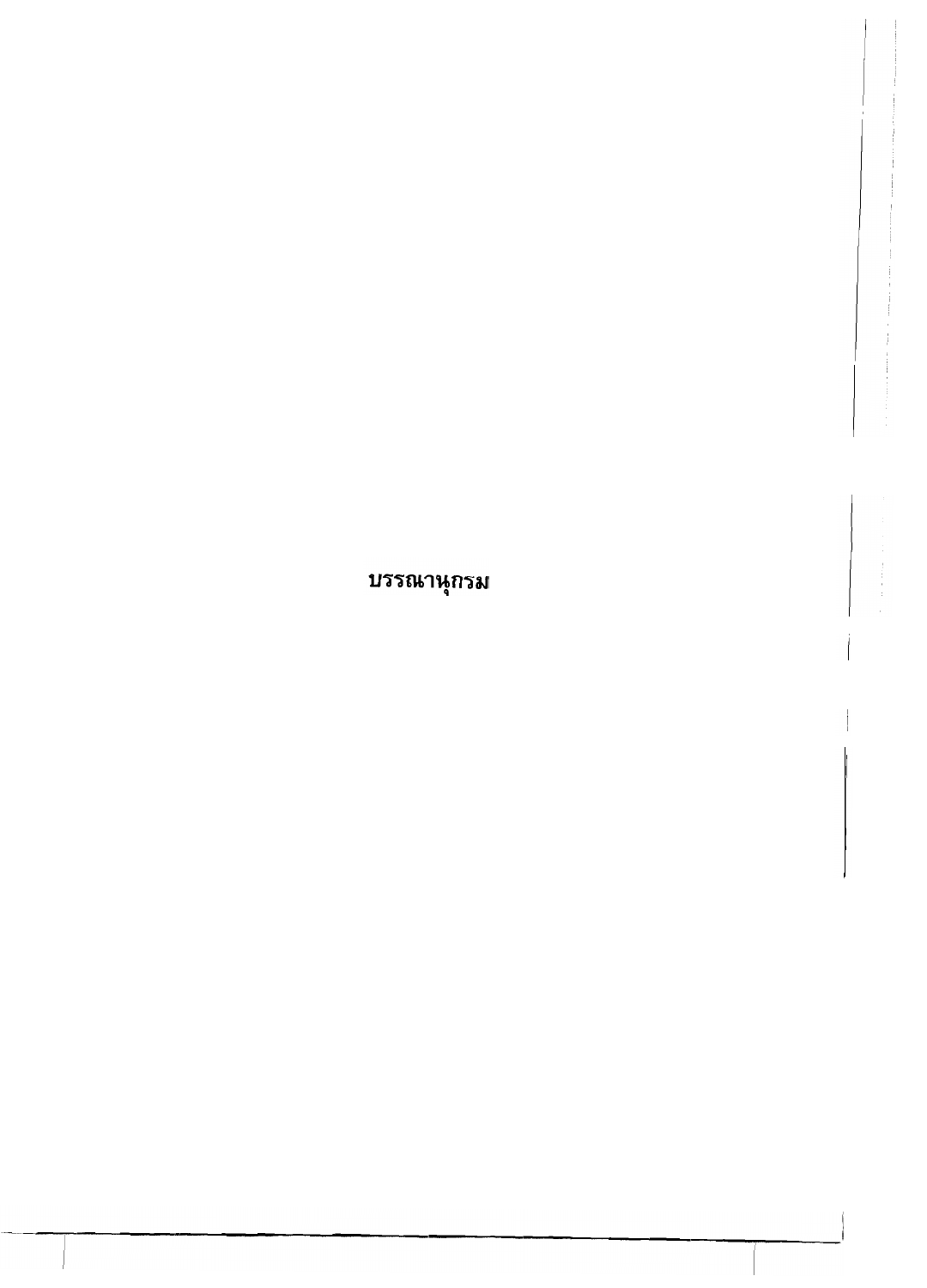บรรณานุกรม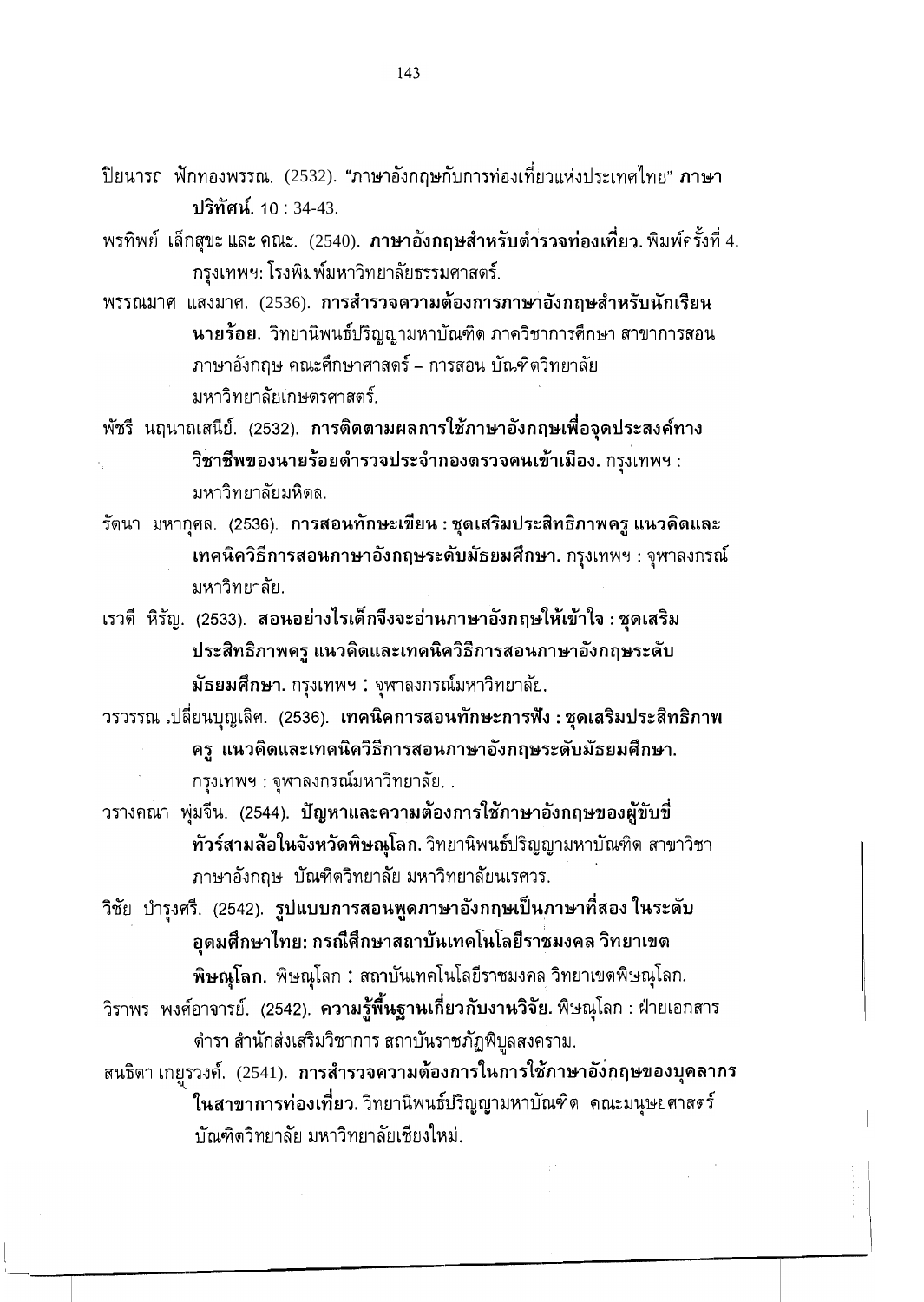ปิยนารถ ฟักทองพรรณ. (2532). "ภาษาอังกฤษกับการท่องเที่ยวแห่งประเทศไทย" **ภาษา** ปริทัศน์. 10 : 34-43.

- พรทิพย์ เล็กสุขะ และ คณะ. (2540). <mark>ภาษาอังกฤษสำหรับตำรวจท่องเที่ยว.</mark> พิมพ์ครั้งที่ 4. กรุงเทพฯ: โรงพิมพ์มหาวิทยาลัยธรรมศาสตร์.
- พรรณมาศ แสงมาศ. (2536). การสำรวจความต้องการภาษาอังกฤษสำหรับนักเรียน นายร้อย. วิทยานิพนธ์ปริญญามหาบัณฑิต ภาควิชาการศึกษา สาขาการสอน ภาษาอังกฤษ คณะศึกษาศาสตร์ – การสอน บัณฑิตวิทยาลัย มหาวิทยาลัยเกษตรศาสตร์

ี พัชรี นฤนาถเสนีย์. (2532). การติดตามผลการใช้ภาษาอังกฤษเพื่อจุดประสงค์ทาง วิชาชีพของนายร้อยตำรวจประจำกองตรวจคนเข้าเมือง. กรุงเทพฯ : มหาวิทยาลัยมหิดล.

รัตนา มหากุศล. (2536). การสอนทักษะเขียน : ชุดเสริมประสิทธิภาพครู แนวคิดและ เทคนิควิธีการสอนภาษาอังกฤษระดับมัธยมศึกษา. กรุงเทพฯ : จุฬาลงกรณ์ มหาวิทยาลัย.

ี เรวดี หิรัญ. (2533). สอนอย่างไรเด็กจึงจะอ่านภาษาอังกฤษให้เข้าใจ : ชุดเสริม ประสิทธิภาพครู แนวคิดและเทคนิควิธีการสอนภาษาอังกฤษระดับ ้มัธยมศึกษา. กรุงเทพฯ : จุฬาลงกรณ์มหาวิทยาลัย.

ำรวรรณ เปลี่ยนบุญเลิศ. (2536). เทคนิคการสอนทักษะการฟัง : ชุดเสริมประสิทธิภาพ ีครู แนวคิดและเทคนิควิธีการสอนภาษาอังกฤษระดับมัธยมศึกษา.

ึกรุงเทพฯ : จุฬาลงกรณ์มหาวิทยาลัย. .

- ำรางคณา พุ่มจีน. (2544). ปัญหาและความต้องการใช้ภาษาอังกฤษของผู้ขับขึ่ ทัวร์สามล้อในจังหวัดพิษณุโลก. วิทยานิพนธ์ปริญญามหาบัณฑิต สาขาวิชา ภาษาอังกฤษ บัณฑิตวิทยาลัย มหาวิทยาลัยนเรศวร.
- วิชัย บำรุงศรี. (2542). รูปแบบการสอนพูดภาษาอังกฤษเป็นภาษาที่สอง ในระดับ อุดมศึกษาไทย: กรณีศึกษาสถาบันเทคโนโลยีราชมงคล วิทยาเขต

ี **พิษณุโลก.** พิษณุโลก : สถาบันเทคโนโลยีราชมงคล วิทยาเขตพิษณุโลก.

ีวิราพร พงศ์อาจารย์. (2542). **ความรู้พื้นฐานเกี่ยวกับงานวิจัย.**พิษณุโลก : ฝ่ายเอกสาร ดำรา สำนักส่งเสริมวิชาการ สถาบันราชภัฏพิบูลสงคราม.

สนธิตา เกยูรวงค์. (2541). การสำรวจความต้องการในการใช้ภาษาอังกฤษของบุคลากร ในสาขาการท่องเที่ยว. วิทยานิพนธ์ปริญญามหาบัณฑิต คณะมนุษยศาสตร์ บัณฑิตวิทยาลัย มหาวิทยาลัยเชียงใหม่.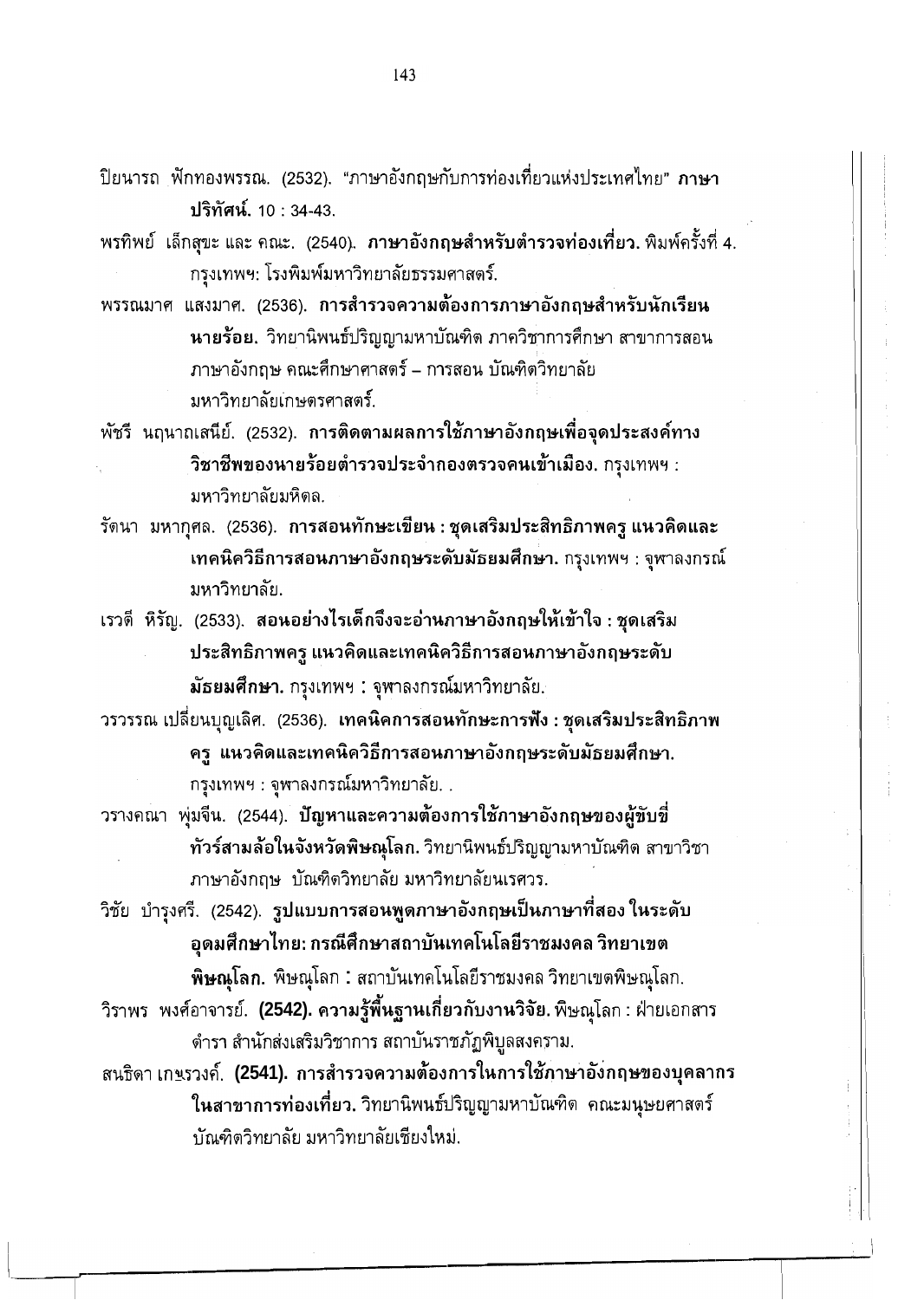- ้ปิยนารถ ฟักทองพรรณ. (2532). "ภาษาอังกฤษกับการท่องเที่ยวแห่งประเทศไทย" ภาษา ปริทัศน์. 10:34-43.
- ี พรทิพย์ เล็กสุขะ และ คณะ. (2540). <mark>ภาษาอังกฤษสำหรับตำรวจท่องเที่ยว.</mark> พิมพ์ครั้งที่ 4. กรุงเทพฯ: โรงพิมพ์มหาวิทยาลัยธรรมศาสตร์.
- พรรณมาศ แสงมาศ. (2536). การสำรวจความต้องการภาษาอังกฤษสำหรับนักเรียน นายร้อย. วิทยานิพนธ์ปริญญามหาบัณฑิต ภาควิชาการศึกษา สาขาการสอน ภาษาอังกถษ คณะศึกษาศาสตร์ – การสอน บัณฑิตวิทยาลัย มหาวิทยาลัยเกษตรศาสตร์.
- พัชรี นฤนาถเสนีย์. (2532). การติดตามผลการใช้ภาษาอังกฤษเพื่อจุดประสงค์ทาง วิชาชีพของนายร้อยตำรวจประจำกองตรวจคนเข้าเมือง. กรุงเทพฯ : มหาวิทยาลัยมหิดล.
- รัตนา มหากุศล. (2536). การสอนทักษะเขียน : ชุดเสริมประสิทธิภาพครู แนวคิดและ เทคนิควิธีการสอนภาษาอังกฤษระดับมัธยมศึกษา. กรุงเทพฯ : จุฬาลงกรณ์ มหาวิทยาลัย.
- ี เรวดี หิรัญ. (2533). สอนอย่างไรเด็กจึงจะอ่านกาษาอังกฤษให้เข้าใจ : ชุดเสริม ประสิทธิภาพครู แนวคิดและเทคนิควิธีการสอนภาษาอังกฤษระดับ ้มัธยมศึกษา. กรุงเทพฯ : จุฬาลงกรณ์มหาวิทยาลัย.

ำรวรรณ เปลี่ยนบุญเลิศ. (2536). เทคนิคการสอนทักษะการฟัง : ชุดเสริมประสิทธิภาพ ี ครู แนวคิดและเทคนิควิธีการสอนภาษาอังกฤษระดับมัธยมศึกษา.

ึกรุงเทพฯ : จุฬาลงกรณ์มหาวิทยาลัย. .

- วรางคณา พุ่มจีน. (2544). ปัญหาและความต้องการใช้ภาษาอังกฤษของผู้ขับขึ่ ี ทัวร์สามล้อในจังหวัดพิษณุโลก. วิทยานิพนธ์ปริญญามหาบัณฑิต สาขาวิชา ภาษาอังกฤษ บัณฑิตวิทยาลัย มหาวิทยาลัยนเรศวร.
- ้วิชัย บำรุงศรี. (2542). รูปแบบการสอนพูดภาษาอังกฤษเป็นภาษาที่สองในระดับ ้อุดมศึกษาไทย: กรณีศึกษาสถาบันเทคโนโลยีราชมงคล วิทยาเขต

ี พิษณุโลก. พิษณุโลก : สถาบันเทคโนโลยีราชมงคล วิทยาเขตพิษณุโลก.

- ี วิราพร พงศ์อาจารย์. **(2542). ความรู้พื้นฐานเกี่ยวกับงานวิจัย.** พิษณุโลก : ฝ่ายเอกสาร ้ตำรา สำนักส่งเสริมวิชาการ สถาบันราชภัฏพิบูลสงคราม.
- สนธิดา เกพรวงค์. (2541). การสำรวจความต้องการในการใช้ภาษาอังกฤษของบุคลากร ในสาขาการท่องเที่ยว. วิทยานิพนธ์ปริญญามหาบัณฑิต คณะมนุษยศาสตร์ ำเันติดวิทยาลัย มหาวิทยาลัยเชียงใหม่.